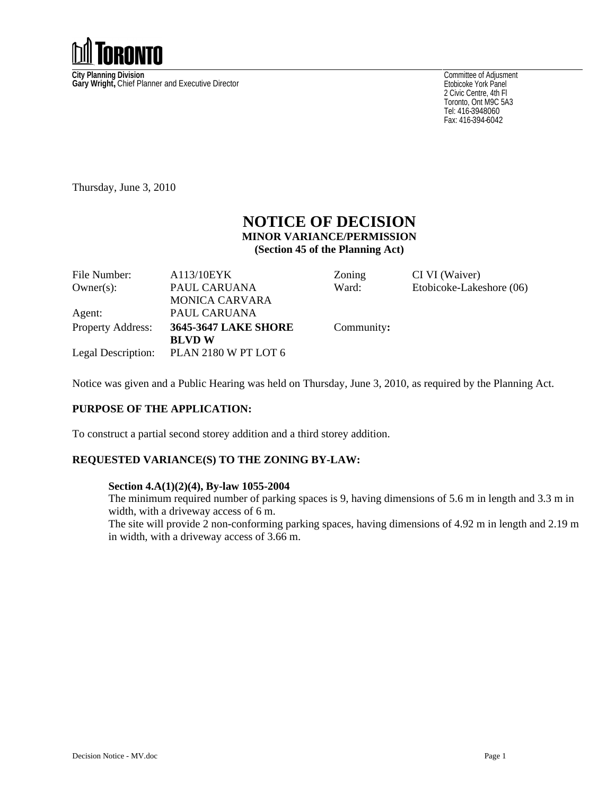

**City Planning Division**<br> **Gary Wright,** Chief Planner and Executive Director<br> **Gary Wright,** Chief Planner and Executive Director

Committee of Adjusment Etobicoke York Panel 2 Civic Centre, 4th Fl Toronto, Ont M9C 5A3 Tel: 416-3948060 Fax: 416-394-6042

Thursday, June 3, 2010

# **NOTICE OF DECISION MINOR VARIANCE/PERMISSION (Section 45 of the Planning Act)**

| A113/10EYK                              | Zoning     | CI VI (Waiver)           |
|-----------------------------------------|------------|--------------------------|
| PAUL CARUANA                            | Ward:      | Etobicoke-Lakeshore (06) |
| MONICA CARVARA                          |            |                          |
| PAUL CARUANA                            |            |                          |
| Property Address: 3645-3647 LAKE SHORE  | Community: |                          |
| <b>BLVDW</b>                            |            |                          |
| Legal Description: PLAN 2180 W PT LOT 6 |            |                          |
|                                         |            |                          |

Notice was given and a Public Hearing was held on Thursday, June 3, 2010, as required by the Planning Act.

## **PURPOSE OF THE APPLICATION:**

To construct a partial second storey addition and a third storey addition.

### **REQUESTED VARIANCE(S) TO THE ZONING BY-LAW:**

#### **Section 4.A(1)(2)(4), By-law 1055-2004**

The minimum required number of parking spaces is 9, having dimensions of 5.6 m in length and 3.3 m in width, with a driveway access of 6 m.

The site will provide 2 non-conforming parking spaces, having dimensions of 4.92 m in length and 2.19 m in width, with a driveway access of 3.66 m.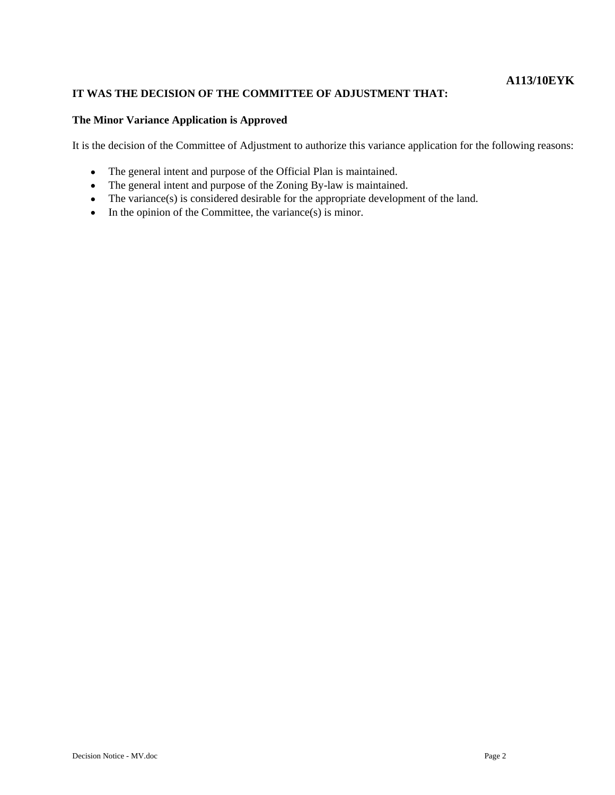## **A113/10EYK**

### **IT WAS THE DECISION OF THE COMMITTEE OF ADJUSTMENT THAT:**

#### **The Minor Variance Application is Approved**

It is the decision of the Committee of Adjustment to authorize this variance application for the following reasons:

- $\bullet$ The general intent and purpose of the Official Plan is maintained.
- The general intent and purpose of the Zoning By-law is maintained.
- The variance(s) is considered desirable for the appropriate development of the land.
- $\bullet$  In the opinion of the Committee, the variance(s) is minor.